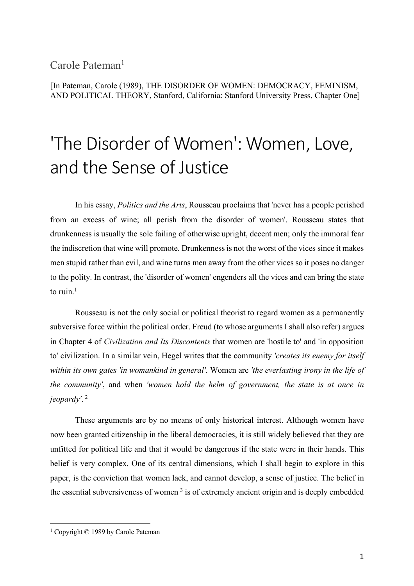## Carole Pateman<sup>1</sup>

[In Pateman, Carole (1989), THE DISORDER OF WOMEN: DEMOCRACY, FEMINISM, AND POLITICAL THEORY, Stanford, California: Stanford University Press, Chapter One]

## 'The Disorder of Women': Women, Love, and the Sense of Justice

In his essay, *Politics and the Arts*, Rousseau proclaims that 'never has a people perished from an excess of wine; all perish from the disorder of women'. Rousseau states that drunkenness is usually the sole failing of otherwise upright, decent men; only the immoral fear the indiscretion that wine will promote. Drunkenness is not the worst of the vices since it makes men stupid rather than evil, and wine turns men away from the other vices so it poses no danger to the polity. In contrast, the 'disorder of women' engenders all the vices and can bring the state to ruin $<sup>1</sup>$ </sup>

Rousseau is not the only social or political theorist to regard women as a permanently subversive force within the political order. Freud (to whose arguments I shall also refer) argues in Chapter 4 of *Civilization and Its Discontents* that women are 'hostile to' and 'in opposition to' civilization. In a similar vein, Hegel writes that the community *'creates its enemy for itself within its own gates 'in womankind in general'*. Women are *'the everlasting irony in the life of the community'*, and when *'women hold the helm of government, the state is at once in jeopardy'*. <sup>2</sup>

These arguments are by no means of only historical interest. Although women have now been granted citizenship in the liberal democracies, it is still widely believed that they are unfitted for political life and that it would be dangerous if the state were in their hands. This belief is very complex. One of its central dimensions, which I shall begin to explore in this paper, is the conviction that women lack, and cannot develop, a sense of justice. The belief in the essential subversiveness of women <sup>3</sup> is of extremely ancient origin and is deeply embedded

 $\overline{a}$ 

<sup>1</sup> Copyright © 1989 by Carole Pateman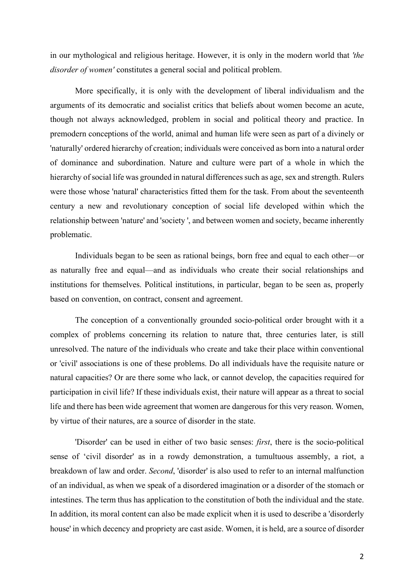in our mythological and religious heritage. However, it is only in the modern world that *'the disorder of women'* constitutes a general social and political problem.

More specifically, it is only with the development of liberal individualism and the arguments of its democratic and socialist critics that beliefs about women become an acute, though not always acknowledged, problem in social and political theory and practice. In premodern conceptions of the world, animal and human life were seen as part of a divinely or 'naturally' ordered hierarchy of creation; individuals were conceived as born into a natural order of dominance and subordination. Nature and culture were part of a whole in which the hierarchy of social life was grounded in natural differences such as age, sex and strength. Rulers were those whose 'natural' characteristics fitted them for the task. From about the seventeenth century a new and revolutionary conception of social life developed within which the relationship between 'nature' and 'society ', and between women and society, became inherently problematic.

Individuals began to be seen as rational beings, born free and equal to each other—or as naturally free and equal—and as individuals who create their social relationships and institutions for themselves. Political institutions, in particular, began to be seen as, properly based on convention, on contract, consent and agreement.

The conception of a conventionally grounded socio-political order brought with it a complex of problems concerning its relation to nature that, three centuries later, is still unresolved. The nature of the individuals who create and take their place within conventional or 'civil' associations is one of these problems. Do all individuals have the requisite nature or natural capacities? Or are there some who lack, or cannot develop, the capacities required for participation in civil life? If these individuals exist, their nature will appear as a threat to social life and there has been wide agreement that women are dangerous for this very reason. Women, by virtue of their natures, are a source of disorder in the state.

'Disorder' can be used in either of two basic senses: *first*, there is the socio-political sense of 'civil disorder' as in a rowdy demonstration, a tumultuous assembly, a riot, a breakdown of law and order. *Second*, 'disorder' is also used to refer to an internal malfunction of an individual, as when we speak of a disordered imagination or a disorder of the stomach or intestines. The term thus has application to the constitution of both the individual and the state. In addition, its moral content can also be made explicit when it is used to describe a 'disorderly house' in which decency and propriety are cast aside. Women, it is held, are a source of disorder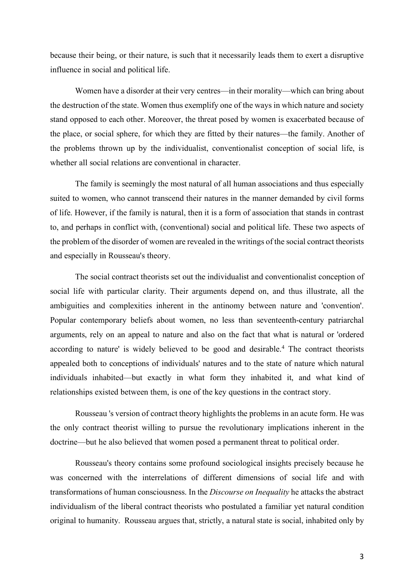because their being, or their nature, is such that it necessarily leads them to exert a disruptive influence in social and political life.

Women have a disorder at their very centres—in their morality—which can bring about the destruction of the state. Women thus exemplify one of the ways in which nature and society stand opposed to each other. Moreover, the threat posed by women is exacerbated because of the place, or social sphere, for which they are fitted by their natures—the family. Another of the problems thrown up by the individualist, conventionalist conception of social life, is whether all social relations are conventional in character.

The family is seemingly the most natural of all human associations and thus especially suited to women, who cannot transcend their natures in the manner demanded by civil forms of life. However, if the family is natural, then it is a form of association that stands in contrast to, and perhaps in conflict with, (conventional) social and political life. These two aspects of the problem of the disorder of women are revealed in the writings of the social contract theorists and especially in Rousseau's theory.

The social contract theorists set out the individualist and conventionalist conception of social life with particular clarity. Their arguments depend on, and thus illustrate, all the ambiguities and complexities inherent in the antinomy between nature and 'convention'. Popular contemporary beliefs about women, no less than seventeenth-century patriarchal arguments, rely on an appeal to nature and also on the fact that what is natural or 'ordered according to nature' is widely believed to be good and desirable.<sup>4</sup> The contract theorists appealed both to conceptions of individuals' natures and to the state of nature which natural individuals inhabited—but exactly in what form they inhabited it, and what kind of relationships existed between them, is one of the key questions in the contract story.

Rousseau 's version of contract theory highlights the problems in an acute form. He was the only contract theorist willing to pursue the revolutionary implications inherent in the doctrine—but he also believed that women posed a permanent threat to political order.

Rousseau's theory contains some profound sociological insights precisely because he was concerned with the interrelations of different dimensions of social life and with transformations of human consciousness. In the *Discourse on Inequality* he attacks the abstract individualism of the liberal contract theorists who postulated a familiar yet natural condition original to humanity. Rousseau argues that, strictly, a natural state is social, inhabited only by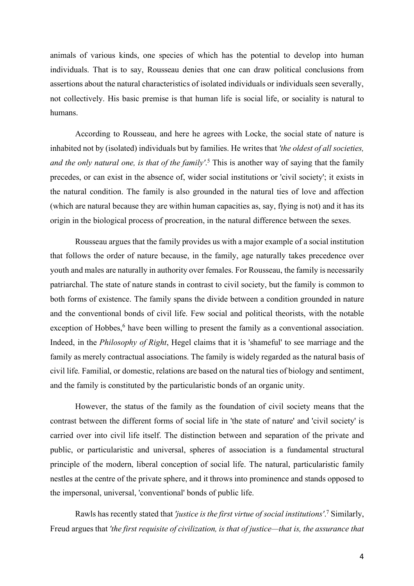animals of various kinds, one species of which has the potential to develop into human individuals. That is to say, Rousseau denies that one can draw political conclusions from assertions about the natural characteristics of isolated individuals or individuals seen severally, not collectively. His basic premise is that human life is social life, or sociality is natural to humans.

According to Rousseau, and here he agrees with Locke, the social state of nature is inhabited not by (isolated) individuals but by families. He writes that *'the oldest of all societies, and the only natural one, is that of the family'*. <sup>5</sup> This is another way of saying that the family precedes, or can exist in the absence of, wider social institutions or 'civil society'; it exists in the natural condition. The family is also grounded in the natural ties of love and affection (which are natural because they are within human capacities as, say, flying is not) and it has its origin in the biological process of procreation, in the natural difference between the sexes.

Rousseau argues that the family provides us with a major example of a social institution that follows the order of nature because, in the family, age naturally takes precedence over youth and males are naturally in authority over females. For Rousseau, the family is necessarily patriarchal. The state of nature stands in contrast to civil society, but the family is common to both forms of existence. The family spans the divide between a condition grounded in nature and the conventional bonds of civil life. Few social and political theorists, with the notable exception of Hobbes,<sup>6</sup> have been willing to present the family as a conventional association. Indeed, in the *Philosophy of Right*, Hegel claims that it is 'shameful' to see marriage and the family as merely contractual associations. The family is widely regarded as the natural basis of civil life. Familial, or domestic, relations are based on the natural ties of biology and sentiment, and the family is constituted by the particularistic bonds of an organic unity.

However, the status of the family as the foundation of civil society means that the contrast between the different forms of social life in 'the state of nature' and 'civil society' is carried over into civil life itself. The distinction between and separation of the private and public, or particularistic and universal, spheres of association is a fundamental structural principle of the modern, liberal conception of social life. The natural, particularistic family nestles at the centre of the private sphere, and it throws into prominence and stands opposed to the impersonal, universal, 'conventional' bonds of public life.

Rawls has recently stated that *'justice is the first virtue of social institutions'*. <sup>7</sup> Similarly, Freud argues that *'the first requisite of civilization, is that of justice—that is, the assurance that*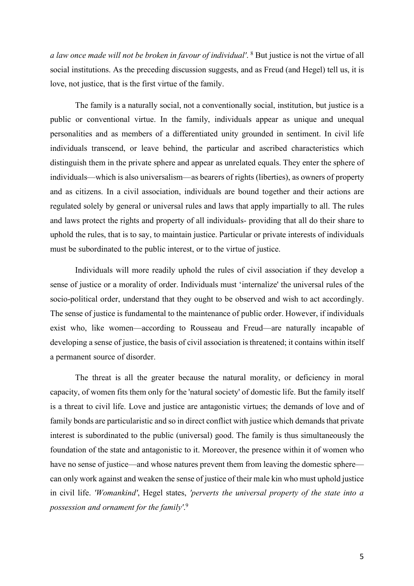*a law once made will not be broken in favour of individual'*. <sup>8</sup> But justice is not the virtue of all social institutions. As the preceding discussion suggests, and as Freud (and Hegel) tell us, it is love, not justice, that is the first virtue of the family.

The family is a naturally social, not a conventionally social, institution, but justice is a public or conventional virtue. In the family, individuals appear as unique and unequal personalities and as members of a differentiated unity grounded in sentiment. In civil life individuals transcend, or leave behind, the particular and ascribed characteristics which distinguish them in the private sphere and appear as unrelated equals. They enter the sphere of individuals—which is also universalism—as bearers of rights (liberties), as owners of property and as citizens. In a civil association, individuals are bound together and their actions are regulated solely by general or universal rules and laws that apply impartially to all. The rules and laws protect the rights and property of all individuals- providing that all do their share to uphold the rules, that is to say, to maintain justice. Particular or private interests of individuals must be subordinated to the public interest, or to the virtue of justice.

Individuals will more readily uphold the rules of civil association if they develop a sense of justice or a morality of order. Individuals must 'internalize' the universal rules of the socio-political order, understand that they ought to be observed and wish to act accordingly. The sense of justice is fundamental to the maintenance of public order. However, if individuals exist who, like women—according to Rousseau and Freud—are naturally incapable of developing a sense of justice, the basis of civil association is threatened; it contains within itself a permanent source of disorder.

The threat is all the greater because the natural morality, or deficiency in moral capacity, of women fits them only for the 'natural society' of domestic life. But the family itself is a threat to civil life. Love and justice are antagonistic virtues; the demands of love and of family bonds are particularistic and so in direct conflict with justice which demands that private interest is subordinated to the public (universal) good. The family is thus simultaneously the foundation of the state and antagonistic to it. Moreover, the presence within it of women who have no sense of justice—and whose natures prevent them from leaving the domestic sphere can only work against and weaken the sense of justice of their male kin who must uphold justice in civil life. *'Womankind'*, Hegel states, *'perverts the universal property of the state into a possession and ornament for the family'*. 9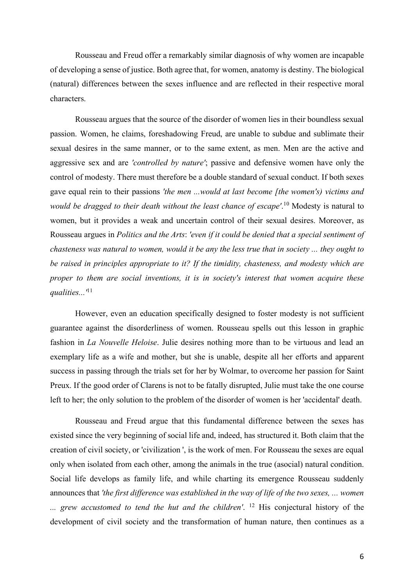Rousseau and Freud offer a remarkably similar diagnosis of why women are incapable of developing a sense of justice. Both agree that, for women, anatomy is destiny. The biological (natural) differences between the sexes influence and are reflected in their respective moral characters.

Rousseau argues that the source of the disorder of women lies in their boundless sexual passion. Women, he claims, foreshadowing Freud, are unable to subdue and sublimate their sexual desires in the same manner, or to the same extent, as men. Men are the active and aggressive sex and are *'controlled by nature'*; passive and defensive women have only the control of modesty. There must therefore be a double standard of sexual conduct. If both sexes gave equal rein to their passions *'the men ...would at last become [the women's) victims and would be dragged to their death without the least chance of escape'*. <sup>10</sup> Modesty is natural to women, but it provides a weak and uncertain control of their sexual desires. Moreover, as Rousseau argues in *Politics and the Arts*: *'even if it could be denied that a special sentiment of chasteness was natural to women, would it be any the less true that in society ... they ought to be raised in principles appropriate to it? If the timidity, chasteness, and modesty which are proper to them are social inventions, it is in society's interest that women acquire these qualities...'*<sup>11</sup>

However, even an education specifically designed to foster modesty is not sufficient guarantee against the disorderliness of women. Rousseau spells out this lesson in graphic fashion in *La Nouvelle Heloise*. Julie desires nothing more than to be virtuous and lead an exemplary life as a wife and mother, but she is unable, despite all her efforts and apparent success in passing through the trials set for her by Wolmar, to overcome her passion for Saint Preux. If the good order of Clarens is not to be fatally disrupted, Julie must take the one course left to her; the only solution to the problem of the disorder of women is her 'accidental' death.

Rousseau and Freud argue that this fundamental difference between the sexes has existed since the very beginning of social life and, indeed, has structured it. Both claim that the creation of civil society, or 'civilization ', is the work of men. For Rousseau the sexes are equal only when isolated from each other, among the animals in the true (asocial) natural condition. Social life develops as family life, and while charting its emergence Rousseau suddenly announces that *'the first difference was established in the way of life of the two sexes, ... women ... grew accustomed to tend the hut and the children'*. 12 His conjectural history of the development of civil society and the transformation of human nature, then continues as a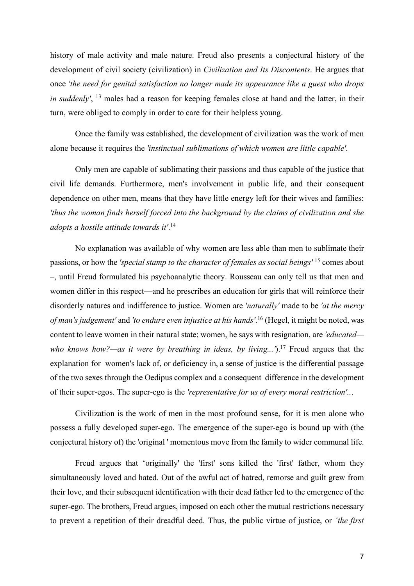history of male activity and male nature. Freud also presents a conjectural history of the development of civil society (civilization) in *Civilization and Its Discontents*. He argues that once *'the need for genital satisfaction no longer made its appearance like a guest who drops in suddenly'*, <sup>13</sup> males had a reason for keeping females close at hand and the latter, in their turn, were obliged to comply in order to care for their helpless young.

Once the family was established, the development of civilization was the work of men alone because it requires the *'instinctual sublimations of which women are little capable'*.

Only men are capable of sublimating their passions and thus capable of the justice that civil life demands. Furthermore, men's involvement in public life, and their consequent dependence on other men, means that they have little energy left for their wives and families: *'thus the woman finds herself forced into the background by the claims of civilization and she adopts a hostile attitude towards it'*. 14

No explanation was available of why women are less able than men to sublimate their passions, or how the *'special stamp to the character of females as social beings'* <sup>15</sup> comes about –, until Freud formulated his psychoanalytic theory. Rousseau can only tell us that men and women differ in this respect—and he prescribes an education for girls that will reinforce their disorderly natures and indifference to justice. Women are *'naturally'* made to be *'at the mercy of man's judgement'* and *'to endure even injustice at his hands'*. <sup>16</sup> (Hegel, it might be noted, was content to leave women in their natural state; women, he says with resignation, are *'educated who knows how?—as it were by breathing in ideas, by living...'*). <sup>17</sup> Freud argues that the explanation for women's lack of, or deficiency in, a sense of justice is the differential passage of the two sexes through the Oedipus complex and a consequent difference in the development of their super-egos. The super-ego is the *'representative for us of every moral restriction'..*.

Civilization is the work of men in the most profound sense, for it is men alone who possess a fully developed super-ego. The emergence of the super-ego is bound up with (the conjectural history of) the 'original ' momentous move from the family to wider communal life.

Freud argues that 'originally' the 'first' sons killed the 'first' father, whom they simultaneously loved and hated. Out of the awful act of hatred, remorse and guilt grew from their love, and their subsequent identification with their dead father led to the emergence of the super-ego. The brothers, Freud argues, imposed on each other the mutual restrictions necessary to prevent a repetition of their dreadful deed. Thus, the public virtue of justice, or *'the first*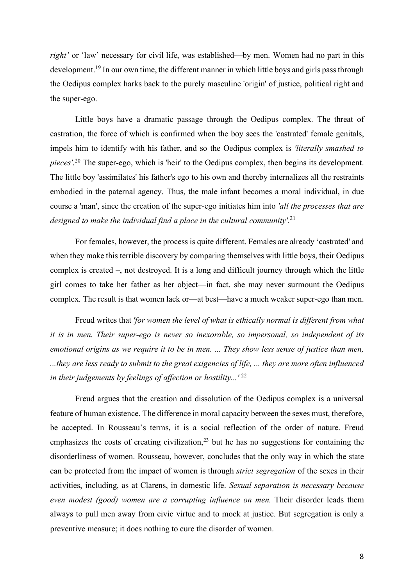*right'* or 'law' necessary for civil life, was established—by men. Women had no part in this development.19 In our own time, the different manner in which little boys and girls pass through the Oedipus complex harks back to the purely masculine 'origin' of justice, political right and the super-ego.

Little boys have a dramatic passage through the Oedipus complex. The threat of castration, the force of which is confirmed when the boy sees the 'castrated' female genitals, impels him to identify with his father, and so the Oedipus complex is *'literally smashed to pieces'*. <sup>20</sup> The super-ego, which is 'heir' to the Oedipus complex, then begins its development. The little boy 'assimilates' his father's ego to his own and thereby internalizes all the restraints embodied in the paternal agency. Thus, the male infant becomes a moral individual, in due course a 'man', since the creation of the super-ego initiates him into *'all the processes that are designed to make the individual find a place in the cultural community'*. 21

For females, however, the process is quite different. Females are already 'castrated' and when they make this terrible discovery by comparing themselves with little boys, their Oedipus complex is created –, not destroyed. It is a long and difficult journey through which the little girl comes to take her father as her object—in fact, she may never surmount the Oedipus complex. The result is that women lack or—at best—have a much weaker super-ego than men.

Freud writes that *'for women the level of what is ethically normal is different from what it is in men. Their super-ego is never so inexorable, so impersonal, so independent of its emotional origins as we require it to be in men. ... They show less sense of justice than men, ...they are less ready to submit to the great exigencies of life, ... they are more often influenced in their judgements by feelings of affection or hostility...'* <sup>22</sup>

Freud argues that the creation and dissolution of the Oedipus complex is a universal feature of human existence. The difference in moral capacity between the sexes must, therefore, be accepted. In Rousseau's terms, it is a social reflection of the order of nature. Freud emphasizes the costs of creating civilization,<sup>23</sup> but he has no suggestions for containing the disorderliness of women. Rousseau, however, concludes that the only way in which the state can be protected from the impact of women is through *strict segregation* of the sexes in their activities, including, as at Clarens, in domestic life. *Sexual separation is necessary because even modest (good) women are a corrupting influence on men.* Their disorder leads them always to pull men away from civic virtue and to mock at justice. But segregation is only a preventive measure; it does nothing to cure the disorder of women.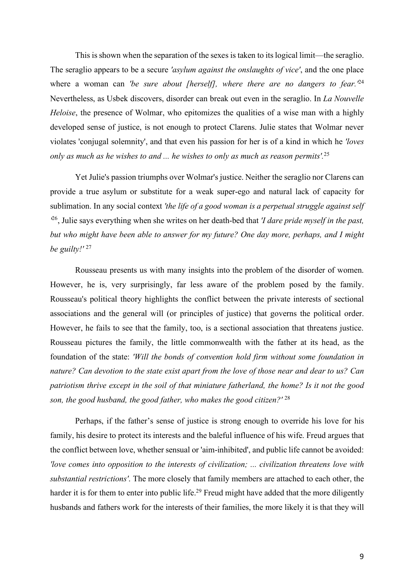This is shown when the separation of the sexes is taken to its logical limit—the seraglio. The seraglio appears to be a secure *'asylum against the onslaughts of vice'*, and the one place where a woman can *'be sure about [herself]*, where there are no dangers to fear.<sup>24</sup> Nevertheless, as Usbek discovers, disorder can break out even in the seraglio. In *La Nouvelle Heloise*, the presence of Wolmar, who epitomizes the qualities of a wise man with a highly developed sense of justice, is not enough to protect Clarens. Julie states that Wolmar never violates 'conjugal solemnity', and that even his passion for her is of a kind in which he *'loves only as much as he wishes to and ... he wishes to only as much as reason permits'.* 25

Yet Julie's passion triumphs over Wolmar's justice. Neither the seraglio nor Clarens can provide a true asylum or substitute for a weak super-ego and natural lack of capacity for sublimation. In any social context *'the life of a good woman is a perpetual struggle against self '* 26, Julie says everything when she writes on her death-bed that *'I dare pride myself in the past, but who might have been able to answer for my future? One day more, perhaps, and I might be guilty!'* <sup>27</sup>

Rousseau presents us with many insights into the problem of the disorder of women. However, he is, very surprisingly, far less aware of the problem posed by the family. Rousseau's political theory highlights the conflict between the private interests of sectional associations and the general will (or principles of justice) that governs the political order. However, he fails to see that the family, too, is a sectional association that threatens justice. Rousseau pictures the family, the little commonwealth with the father at its head, as the foundation of the state: *'Will the bonds of convention hold firm without some foundation in nature? Can devotion to the state exist apart from the love of those near and dear to us? Can patriotism thrive except in the soil of that miniature fatherland, the home? Is it not the good son, the good husband, the good father, who makes the good citizen?'* <sup>28</sup>

Perhaps, if the father's sense of justice is strong enough to override his love for his family, his desire to protect its interests and the baleful influence of his wife. Freud argues that the conflict between love, whether sensual or 'aim-inhibited', and public life cannot be avoided: *'love comes into opposition to the interests of civilization; ... civilization threatens love with substantial restrictions'*. The more closely that family members are attached to each other, the harder it is for them to enter into public life.<sup>29</sup> Freud might have added that the more diligently husbands and fathers work for the interests of their families, the more likely it is that they will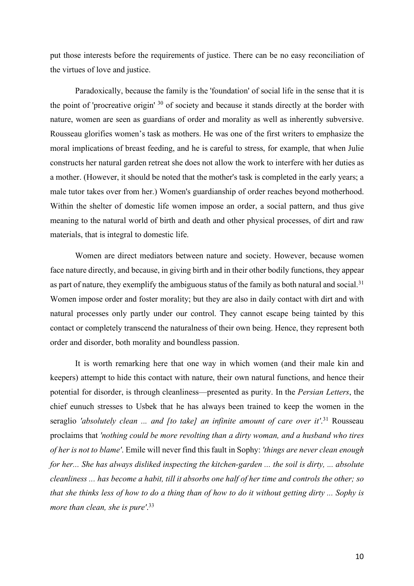put those interests before the requirements of justice. There can be no easy reconciliation of the virtues of love and justice.

Paradoxically, because the family is the 'foundation' of social life in the sense that it is the point of 'procreative origin' <sup>30</sup> of society and because it stands directly at the border with nature, women are seen as guardians of order and morality as well as inherently subversive. Rousseau glorifies women's task as mothers. He was one of the first writers to emphasize the moral implications of breast feeding, and he is careful to stress, for example, that when Julie constructs her natural garden retreat she does not allow the work to interfere with her duties as a mother. (However, it should be noted that the mother's task is completed in the early years; a male tutor takes over from her.) Women's guardianship of order reaches beyond motherhood. Within the shelter of domestic life women impose an order, a social pattern, and thus give meaning to the natural world of birth and death and other physical processes, of dirt and raw materials, that is integral to domestic life.

Women are direct mediators between nature and society. However, because women face nature directly, and because, in giving birth and in their other bodily functions, they appear as part of nature, they exemplify the ambiguous status of the family as both natural and social.<sup>31</sup> Women impose order and foster morality; but they are also in daily contact with dirt and with natural processes only partly under our control. They cannot escape being tainted by this contact or completely transcend the naturalness of their own being. Hence, they represent both order and disorder, both morality and boundless passion.

It is worth remarking here that one way in which women (and their male kin and keepers) attempt to hide this contact with nature, their own natural functions, and hence their potential for disorder, is through cleanliness—presented as purity. In the *Persian Letters*, the chief eunuch stresses to Usbek that he has always been trained to keep the women in the seraglio *'absolutely clean ... and [to take] an infinite amount of care over it'*. <sup>31</sup> Rousseau proclaims that *'nothing could be more revolting than a dirty woman, and a husband who tires of her is not to blame'*. Emile will never find this fault in Sophy: *'things are never clean enough for her... She has always disliked inspecting the kitchen-garden ... the soil is dirty, ... absolute cleanliness ... has become a habit, till it absorbs one half of her time and controls the other; so that she thinks less of how to do a thing than of how to do it without getting dirty ... Sophy is more than clean, she is pure'*. 33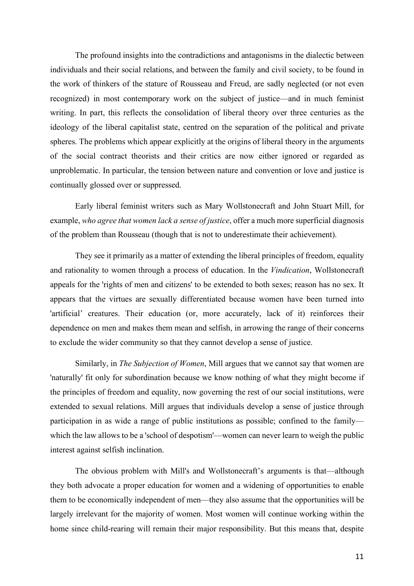The profound insights into the contradictions and antagonisms in the dialectic between individuals and their social relations, and between the family and civil society, to be found in the work of thinkers of the stature of Rousseau and Freud, are sadly neglected (or not even recognized) in most contemporary work on the subject of justice—and in much feminist writing. In part, this reflects the consolidation of liberal theory over three centuries as the ideology of the liberal capitalist state, centred on the separation of the political and private spheres. The problems which appear explicitly at the origins of liberal theory in the arguments of the social contract theorists and their critics are now either ignored or regarded as unproblematic. In particular, the tension between nature and convention or love and justice is continually glossed over or suppressed.

Early liberal feminist writers such as Mary Wollstonecraft and John Stuart Mill, for example, *who agree that women lack a sense of justice*, offer a much more superficial diagnosis of the problem than Rousseau (though that is not to underestimate their achievement).

They see it primarily as a matter of extending the liberal principles of freedom, equality and rationality to women through a process of education. In the *Vindication*, Wollstonecraft appeals for the 'rights of men and citizens' to be extended to both sexes; reason has no sex. It appears that the virtues are sexually differentiated because women have been turned into 'artificial' creatures. Their education (or, more accurately, lack of it) reinforces their dependence on men and makes them mean and selfish, in arrowing the range of their concerns to exclude the wider community so that they cannot develop a sense of justice.

Similarly, in *The Subjection of Women*, Mill argues that we cannot say that women are 'naturally' fit only for subordination because we know nothing of what they might become if the principles of freedom and equality, now governing the rest of our social institutions, were extended to sexual relations. Mill argues that individuals develop a sense of justice through participation in as wide a range of public institutions as possible; confined to the family which the law allows to be a 'school of despotism'—women can never learn to weigh the public interest against selfish inclination.

The obvious problem with Mill's and Wollstonecraft's arguments is that—although they both advocate a proper education for women and a widening of opportunities to enable them to be economically independent of men—they also assume that the opportunities will be largely irrelevant for the majority of women. Most women will continue working within the home since child-rearing will remain their major responsibility. But this means that, despite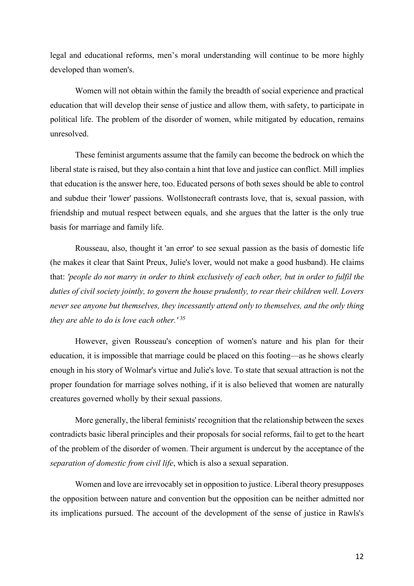legal and educational reforms, men's moral understanding will continue to be more highly developed than women's.

Women will not obtain within the family the breadth of social experience and practical education that will develop their sense of justice and allow them, with safety, to participate in political life. The problem of the disorder of women, while mitigated by education, remains unresolved.

These feminist arguments assume that the family can become the bedrock on which the liberal state is raised, but they also contain a hint that love and justice can conflict. Mill implies that education is the answer here, too. Educated persons of both sexes should be able to control and subdue their 'lower' passions. Wollstonecraft contrasts love, that is, sexual passion, with friendship and mutual respect between equals, and she argues that the latter is the only true basis for marriage and family life.

Rousseau, also, thought it 'an error' to see sexual passion as the basis of domestic life (he makes it clear that Saint Preux, Julie's lover, would not make a good husband). He claims that: *'people do not marry in order to think exclusively of each other, but in order to fulfil the duties of civil society jointly, to govern the house prudently, to rear their children well. Lovers never see anyone but themselves, they incessantly attend only to themselves, and the only thing they are able to do is love each other.'* <sup>35</sup>

However, given Rousseau's conception of women's nature and his plan for their education, it is impossible that marriage could be placed on this footing—as he shows clearly enough in his story of Wolmar's virtue and Julie's love. To state that sexual attraction is not the proper foundation for marriage solves nothing, if it is also believed that women are naturally creatures governed wholly by their sexual passions.

More generally, the liberal feminists' recognition that the relationship between the sexes contradicts basic liberal principles and their proposals for social reforms, fail to get to the heart of the problem of the disorder of women. Their argument is undercut by the acceptance of the *separation of domestic from civil life*, which is also a sexual separation.

Women and love are irrevocably set in opposition to justice. Liberal theory presupposes the opposition between nature and convention but the opposition can be neither admitted nor its implications pursued. The account of the development of the sense of justice in Rawls's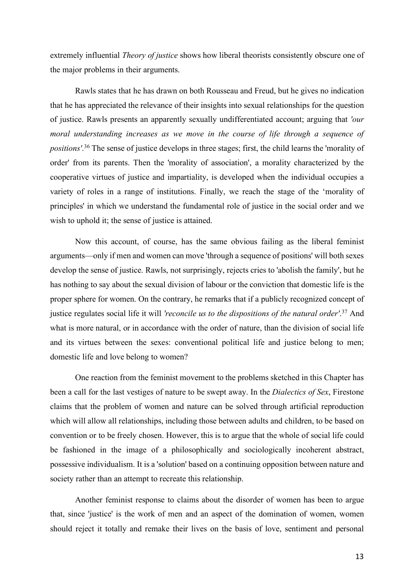extremely influential *Theory of justice* shows how liberal theorists consistently obscure one of the major problems in their arguments.

Rawls states that he has drawn on both Rousseau and Freud, but he gives no indication that he has appreciated the relevance of their insights into sexual relationships for the question of justice. Rawls presents an apparently sexually undifferentiated account; arguing that *'our moral understanding increases as we move in the course of life through a sequence of positions'*. <sup>36</sup> The sense of justice develops in three stages; first, the child learns the 'morality of order' from its parents. Then the 'morality of association', a morality characterized by the cooperative virtues of justice and impartiality, is developed when the individual occupies a variety of roles in a range of institutions. Finally, we reach the stage of the 'morality of principles' in which we understand the fundamental role of justice in the social order and we wish to uphold it; the sense of justice is attained.

Now this account, of course, has the same obvious failing as the liberal feminist arguments—only if men and women can move 'through a sequence of positions' will both sexes develop the sense of justice. Rawls, not surprisingly, rejects cries to 'abolish the family', but he has nothing to say about the sexual division of labour or the conviction that domestic life is the proper sphere for women. On the contrary, he remarks that if a publicly recognized concept of justice regulates social life it will *'reconcile us to the dispositions of the natural order'*. <sup>37</sup> And what is more natural, or in accordance with the order of nature, than the division of social life and its virtues between the sexes: conventional political life and justice belong to men; domestic life and love belong to women?

One reaction from the feminist movement to the problems sketched in this Chapter has been a call for the last vestiges of nature to be swept away. In the *Dialectics of Sex*, Firestone claims that the problem of women and nature can be solved through artificial reproduction which will allow all relationships, including those between adults and children, to be based on convention or to be freely chosen. However, this is to argue that the whole of social life could be fashioned in the image of a philosophically and sociologically incoherent abstract, possessive individualism. It is a 'solution' based on a continuing opposition between nature and society rather than an attempt to recreate this relationship.

Another feminist response to claims about the disorder of women has been to argue that, since 'justice' is the work of men and an aspect of the domination of women, women should reject it totally and remake their lives on the basis of love, sentiment and personal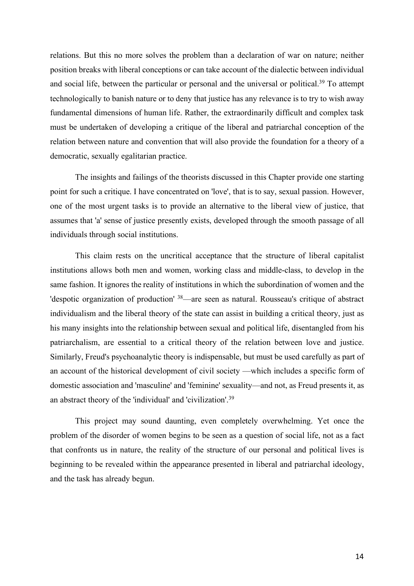relations. But this no more solves the problem than a declaration of war on nature; neither position breaks with liberal conceptions or can take account of the dialectic between individual and social life, between the particular or personal and the universal or political.<sup>39</sup> To attempt technologically to banish nature or to deny that justice has any relevance is to try to wish away fundamental dimensions of human life. Rather, the extraordinarily difficult and complex task must be undertaken of developing a critique of the liberal and patriarchal conception of the relation between nature and convention that will also provide the foundation for a theory of a democratic, sexually egalitarian practice.

The insights and failings of the theorists discussed in this Chapter provide one starting point for such a critique. I have concentrated on 'love', that is to say, sexual passion. However, one of the most urgent tasks is to provide an alternative to the liberal view of justice, that assumes that 'a' sense of justice presently exists, developed through the smooth passage of all individuals through social institutions.

This claim rests on the uncritical acceptance that the structure of liberal capitalist institutions allows both men and women, working class and middle-class, to develop in the same fashion. It ignores the reality of institutions in which the subordination of women and the 'despotic organization of production' 38—are seen as natural. Rousseau's critique of abstract individualism and the liberal theory of the state can assist in building a critical theory, just as his many insights into the relationship between sexual and political life, disentangled from his patriarchalism, are essential to a critical theory of the relation between love and justice. Similarly, Freud's psychoanalytic theory is indispensable, but must be used carefully as part of an account of the historical development of civil society —which includes a specific form of domestic association and 'masculine' and 'feminine' sexuality—and not, as Freud presents it, as an abstract theory of the 'individual' and 'civilization'.39

This project may sound daunting, even completely overwhelming. Yet once the problem of the disorder of women begins to be seen as a question of social life, not as a fact that confronts us in nature, the reality of the structure of our personal and political lives is beginning to be revealed within the appearance presented in liberal and patriarchal ideology, and the task has already begun.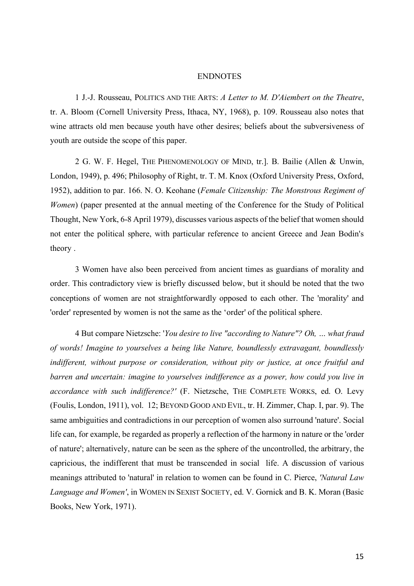## ENDNOTES

1 J.-J. Rousseau, POLITICS AND THE ARTS: *A Letter to M. D'Aiembert on the Theatre*, tr. A. Bloom (Cornell University Press, Ithaca, NY, 1968), p. 109. Rousseau also notes that wine attracts old men because youth have other desires; beliefs about the subversiveness of youth are outside the scope of this paper.

2 G. W. F. Hegel, THE PHENOMENOLOGY OF MIND, tr.]. B. Bailie (Allen & Unwin, London, 1949), p. 496; Philosophy of Right, tr. T. M. Knox (Oxford University Press, Oxford, 1952), addition to par. 166. N. O. Keohane (*Female Citizenship: The Monstrous Regiment of Women*) (paper presented at the annual meeting of the Conference for the Study of Political Thought, New York, 6-8 April 1979), discusses various aspects of the belief that women should not enter the political sphere, with particular reference to ancient Greece and Jean Bodin's theory .

3 Women have also been perceived from ancient times as guardians of morality and order. This contradictory view is briefly discussed below, but it should be noted that the two conceptions of women are not straightforwardly opposed to each other. The 'morality' and 'order' represented by women is not the same as the 'order' of the political sphere.

4 But compare Nietzsche: '*You desire to live "according to Nature"? Oh, … what fraud of words! Imagine to yourselves a being like Nature, boundlessly extravagant, boundlessly indifferent, without purpose or consideration, without pity or justice, at once fruitful and barren and uncertain: imagine to yourselves indifference as a power, how could you live in accordance with such indifference?'* (F. Nietzsche, THE COMPLETE WORKS, ed. O. Levy (Foulis, London, 1911), vol. 12; BEYOND GOOD AND EVIL, tr. H. Zimmer, Chap. I, par. 9). The same ambiguities and contradictions in our perception of women also surround 'nature'. Social life can, for example, be regarded as properly a reflection of the harmony in nature or the 'order of nature'; alternatively, nature can be seen as the sphere of the uncontrolled, the arbitrary, the capricious, the indifferent that must be transcended in social life. A discussion of various meanings attributed to 'natural' in relation to women can be found in C. Pierce, *'Natural Law Language and Women'*, in WOMEN IN SEXIST SOCIETY, ed. V. Gornick and B. K. Moran (Basic Books, New York, 1971).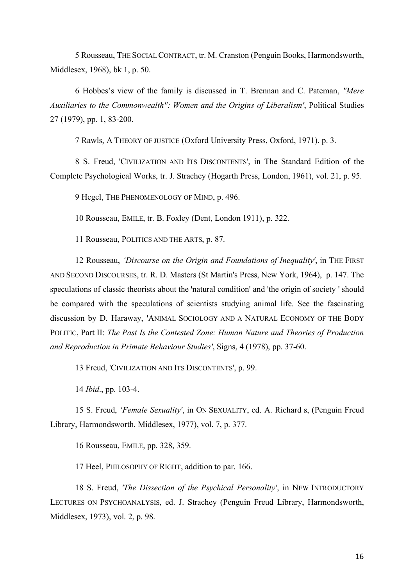5 Rousseau, THE SOCIAL CONTRACT, tr. M. Cranston (Penguin Books, Harmondsworth, Middlesex, 1968), bk 1, p. 50.

6 Hobbes's view of the family is discussed in T. Brennan and C. Pateman, *"Mere Auxiliaries to the Commonwealth": Women and the Origins of Liberalism'*, Political Studies 27 (1979), pp. 1, 83-200.

7 Rawls, A THEORY OF JUSTICE (Oxford University Press, Oxford, 1971), p. 3.

8 S. Freud, 'CIVILIZATION AND ITS DISCONTENTS', in The Standard Edition of the Complete Psychological Works, tr. J. Strachey (Hogarth Press, London, 1961), vol. 21, p. 95.

9 Hegel, THE PHENOMENOLOGY OF MIND, p. 496.

10 Rousseau, EMILE, tr. B. Foxley (Dent, London 1911), p. 322.

11 Rousseau, POLITICS AND THE ARTS, p. 87.

12 Rousseau, *'Discourse on the Origin and Foundations of Inequality'*, in THE FIRST AND SECOND DISCOURSES, tr. R. D. Masters (St Martin's Press, New York, 1964), p. 147. The speculations of classic theorists about the 'natural condition' and 'the origin of society ' should be compared with the speculations of scientists studying animal life. See the fascinating discussion by D. Haraway, 'ANIMAL SOCIOLOGY AND A NATURAL ECONOMY OF THE BODY POLITIC, Part II: *The Past Is the Contested Zone: Human Nature and Theories of Production and Reproduction in Primate Behaviour Studies'*, Signs, 4 (1978), pp. 37-60.

13 Freud, 'CIVILIZATION AND ITS DISCONTENTS', p. 99.

14 *Ibid*., pp. 103-4.

15 S. Freud, *'Female Sexuality'*, in ON SEXUALITY, ed. A. Richard s, (Penguin Freud Library, Harmondsworth, Middlesex, 1977), vol. 7, p. 377.

16 Rousseau, EMILE, pp. 328, 359.

17 Heel, PHILOSOPHY OF RIGHT, addition to par. 166.

18 S. Freud, *'The Dissection of the Psychical Personality'*, in NEW INTRODUCTORY LECTURES ON PSYCHOANALYSIS, ed. J. Strachey (Penguin Freud Library, Harmondsworth, Middlesex, 1973), vol. 2, p. 98.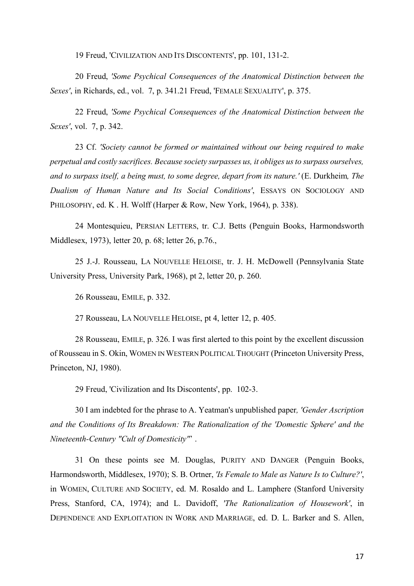19 Freud, 'CIVILIZATION AND ITS DISCONTENTS', pp. 101, 131-2.

20 Freud, *'Some Psychical Consequences of the Anatomical Distinction between the Sexes'*, in Richards, ed., vol. 7, p. 341.21 Freud, 'FEMALE SEXUALITY', p. 375.

22 Freud, *'Some Psychical Consequences of the Anatomical Distinction between the Sexes'*, vol. 7, p. 342.

23 Cf. *'Society cannot be formed or maintained without our being required to make perpetual and costly sacrifices. Because society surpasses us, it obliges us to surpass ourselves, and to surpass itself, a being must, to some degree, depart from its nature.'* (E. Durkheim*, The Dualism of Human Nature and Its Social Conditions'*, ESSAYS ON SOCIOLOGY AND PHILOSOPHY, ed. K. H. Wolff (Harper & Row, New York, 1964), p. 338).

24 Montesquieu, PERSIAN LETTERS, tr. C.J. Betts (Penguin Books, Harmondsworth Middlesex, 1973), letter 20, p. 68; letter 26, p.76.,

25 J.-J. Rousseau, LA NOUVELLE HELOISE, tr. J. H. McDowell (Pennsylvania State University Press, University Park, 1968), pt 2, letter 20, p. 260.

26 Rousseau, EMILE, p. 332.

27 Rousseau, LA NOUVELLE HELOISE, pt 4, letter 12, p. 405.

28 Rousseau, EMILE, p. 326. I was first alerted to this point by the excellent discussion of Rousseau in S. Okin, WOMEN IN WESTERN POLITICAL THOUGHT (Princeton University Press, Princeton, NJ, 1980).

29 Freud, 'Civilization and Its Discontents', pp. 102-3.

30 I am indebted for the phrase to A. Yeatman's unpublished paper*, 'Gender Ascription and the Conditions of Its Breakdown: The Rationalization of the 'Domestic Sphere' and the Nineteenth-Century "Cult of Domesticity"*' .

31 On these points see M. Douglas, PURITY AND DANGER (Penguin Books, Harmondsworth, Middlesex, 1970); S. B. Ortner, *'Is Female to Male as Nature Is to Culture?'*, in WOMEN, CULTURE AND SOCIETY, ed. M. Rosaldo and L. Lamphere (Stanford University Press, Stanford, CA, 1974); and L. Davidoff, *'The Rationalization of Housework'*, in DEPENDENCE AND EXPLOITATION IN WORK AND MARRIAGE, ed. D. L. Barker and S. Allen,